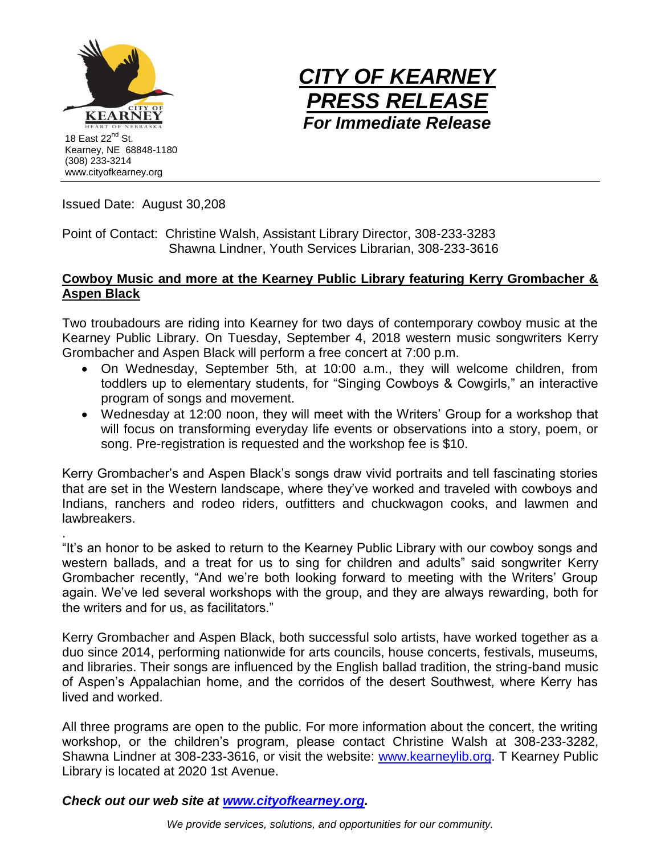



Issued Date: August 30,208

Point of Contact: Christine Walsh, Assistant Library Director, 308-233-3283 Shawna Lindner, Youth Services Librarian, 308-233-3616

## **Cowboy Music and more at the Kearney Public Library featuring Kerry Grombacher & Aspen Black**

Two troubadours are riding into Kearney for two days of contemporary cowboy music at the Kearney Public Library. On Tuesday, September 4, 2018 western music songwriters Kerry Grombacher and Aspen Black will perform a free concert at 7:00 p.m.

- On Wednesday, September 5th, at 10:00 a.m., they will welcome children, from toddlers up to elementary students, for "Singing Cowboys & Cowgirls," an interactive program of songs and movement.
- Wednesday at 12:00 noon, they will meet with the Writers' Group for a workshop that will focus on transforming everyday life events or observations into a story, poem, or song. Pre-registration is requested and the workshop fee is \$10.

Kerry Grombacher's and Aspen Black's songs draw vivid portraits and tell fascinating stories that are set in the Western landscape, where they've worked and traveled with cowboys and Indians, ranchers and rodeo riders, outfitters and chuckwagon cooks, and lawmen and lawbreakers.

. "It's an honor to be asked to return to the Kearney Public Library with our cowboy songs and western ballads, and a treat for us to sing for children and adults" said songwriter Kerry Grombacher recently, "And we're both looking forward to meeting with the Writers' Group again. We've led several workshops with the group, and they are always rewarding, both for the writers and for us, as facilitators."

Kerry Grombacher and Aspen Black, both successful solo artists, have worked together as a duo since 2014, performing nationwide for arts councils, house concerts, festivals, museums, and libraries. Their songs are influenced by the English ballad tradition, the string-band music of Aspen's Appalachian home, and the corridos of the desert Southwest, where Kerry has lived and worked.

All three programs are open to the public. For more information about the concert, the writing workshop, or the children's program, please contact Christine Walsh at 308-233-3282, Shawna Lindner at 308-233-3616, or visit the website: [www.kearneylib.org.](http://www.kearneylib.org/) T Kearney Public Library is located at 2020 1st Avenue.

*Check out our web site at [www.cityofkearney.org.](http://www.cityofkearney.org/)*

*We provide services, solutions, and opportunities for our community.*